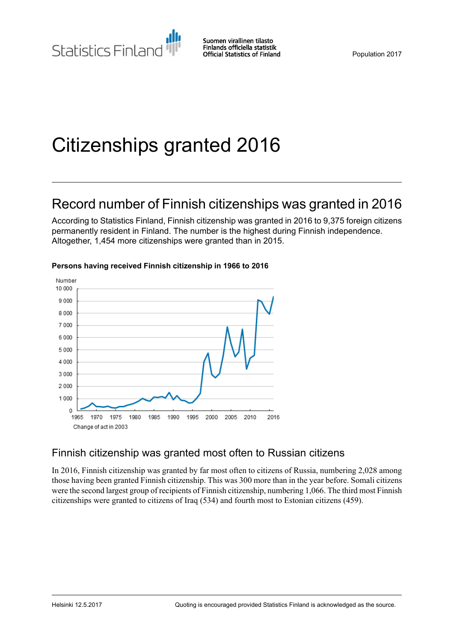# Citizenships granted 2016

### Record number of Finnish citizenships was granted in 2016

According to Statistics Finland, Finnish citizenship was granted in 2016 to 9,375 foreign citizens permanently resident in Finland. The number is the highest during Finnish independence. Altogether, 1,454 more citizenships were granted than in 2015.



#### **Persons having received Finnish citizenship in 1966 to 2016**

### Finnish citizenship was granted most often to Russian citizens

In 2016, Finnish citizenship was granted by far most often to citizens of Russia, numbering 2,028 among those having been granted Finnish citizenship. This was 300 more than in the year before. Somali citizens were the second largest group of recipients of Finnish citizenship, numbering 1,066. The third most Finnish citizenships were granted to citizens of Iraq (534) and fourth most to Estonian citizens (459).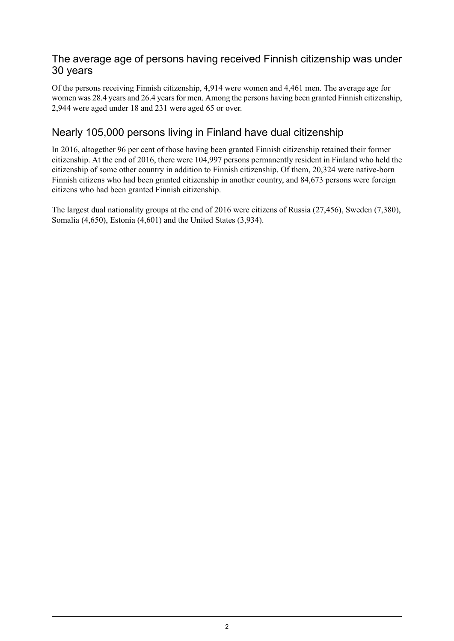#### The average age of persons having received Finnish citizenship was under 30 years

Of the persons receiving Finnish citizenship, 4,914 were women and 4,461 men. The average age for women was 28.4 years and 26.4 years for men. Among the persons having been granted Finnish citizenship, 2,944 were aged under 18 and 231 were aged 65 or over.

### Nearly 105,000 persons living in Finland have dual citizenship

In 2016, altogether 96 per cent of those having been granted Finnish citizenship retained their former citizenship. At the end of 2016, there were 104,997 persons permanently resident in Finland who held the citizenship of some other country in addition to Finnish citizenship. Of them, 20,324 were native-born Finnish citizens who had been granted citizenship in another country, and 84,673 persons were foreign citizens who had been granted Finnish citizenship.

The largest dual nationality groups at the end of 2016 were citizens of Russia (27,456), Sweden (7,380), Somalia (4,650), Estonia (4,601) and the United States (3,934).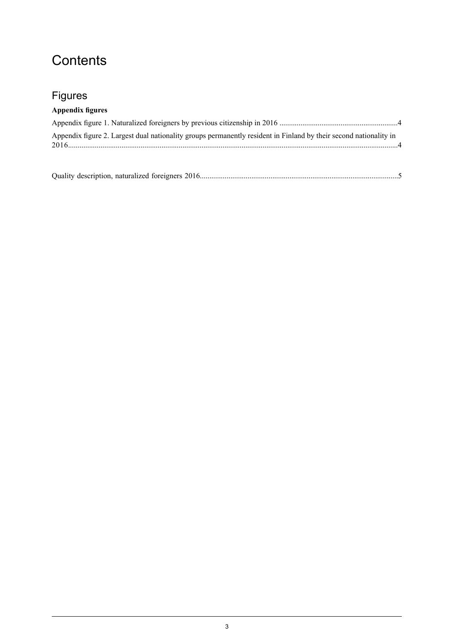# **Contents**

### Figures

### **Appendix figures**

| Appendix figure 2. Largest dual nationality groups permanently resident in Finland by their second nationality in |  |
|-------------------------------------------------------------------------------------------------------------------|--|
|                                                                                                                   |  |

|--|--|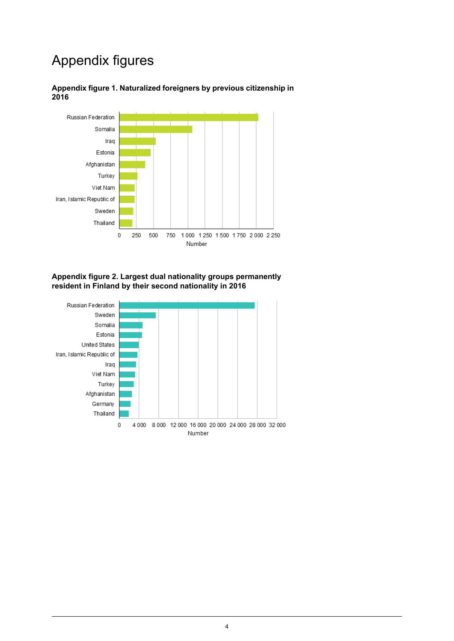# Appendix figures



<span id="page-3-0"></span>**Appendix figure 1. Naturalized foreigners by previous citizenship in 2016**

<span id="page-3-1"></span>**Appendix figure 2. Largest dual nationality groups permanently resident in Finland by their second nationality in 2016**

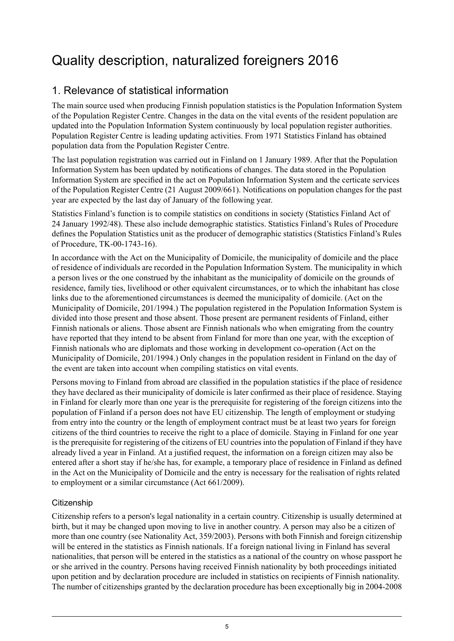# <span id="page-4-0"></span>Quality description, naturalized foreigners 2016

### 1. Relevance of statistical information

The main source used when producing Finnish population statistics is the Population Information System of the Population Register Centre. Changes in the data on the vital events of the resident population are updated into the Population Information System continuously by local population register authorities. Population Register Centre is leading updating activities. From 1971 Statistics Finland has obtained population data from the Population Register Centre.

The last population registration was carried out in Finland on 1 January 1989. After that the Population Information System has been updated by notifications of changes. The data stored in the Population Information System are specified in the act on Population Information System and the certicate services of the Population Register Centre (21 August 2009/661). Notifications on population changes for the past year are expected by the last day of January of the following year.

Statistics Finland's function is to compile statistics on conditions in society (Statistics Finland Act of 24 January 1992/48). These also include demographic statistics. Statistics Finland's Rules of Procedure defines the Population Statistics unit as the producer of demographic statistics (Statistics Finland's Rules of Procedure, TK-00-1743-16).

In accordance with the Act on the Municipality of Domicile, the municipality of domicile and the place of residence of individuals are recorded in the Population Information System. The municipality in which a person lives or the one construed by the inhabitant as the municipality of domicile on the grounds of residence, family ties, livelihood or other equivalent circumstances, or to which the inhabitant has close links due to the aforementioned circumstances is deemed the municipality of domicile. (Act on the Municipality of Domicile, 201/1994.) The population registered in the Population Information System is divided into those present and those absent. Those present are permanent residents of Finland, either Finnish nationals or aliens. Those absent are Finnish nationals who when emigrating from the country have reported that they intend to be absent from Finland for more than one year, with the exception of Finnish nationals who are diplomats and those working in development co-operation (Act on the Municipality of Domicile, 201/1994.) Only changes in the population resident in Finland on the day of the event are taken into account when compiling statistics on vital events.

Persons moving to Finland from abroad are classified in the population statistics if the place of residence they have declared as their municipality of domicile is later confirmed as their place of residence. Staying in Finland for clearly more than one year is the prerequisite for registering of the foreign citizens into the population of Finland if a person does not have EU citizenship. The length of employment or studying from entry into the country or the length of employment contract must be at least two years for foreign citizens of the third countries to receive the right to a place of domicile. Staying in Finland for one year is the prerequisite for registering of the citizens of EU countries into the population of Finland if they have already lived a year in Finland. At a justified request, the information on a foreign citizen may also be entered after a short stay if he/she has, for example, a temporary place of residence in Finland as defined in the Act on the Municipality of Domicile and the entry is necessary for the realisation of rights related to employment or a similar circumstance (Act 661/2009).

#### **Citizenship**

Citizenship refers to a person's legal nationality in a certain country. Citizenship is usually determined at birth, but it may be changed upon moving to live in another country. A person may also be a citizen of more than one country (see Nationality Act, 359/2003). Persons with both Finnish and foreign citizenship will be entered in the statistics as Finnish nationals. If a foreign national living in Finland has several nationalities, that person will be entered in the statistics as a national of the country on whose passport he or she arrived in the country. Persons having received Finnish nationality by both proceedings initiated upon petition and by declaration procedure are included in statistics on recipients of Finnish nationality. The number of citizenships granted by the declaration procedure has been exceptionally big in 2004-2008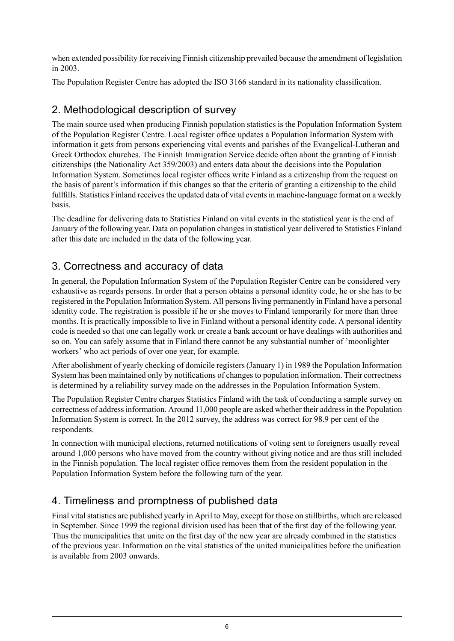when extended possibility for receiving Finnish citizenship prevailed because the amendment of legislation in 2003.

The Population Register Centre has adopted the ISO 3166 standard in its nationality classification.

### 2. Methodological description of survey

The main source used when producing Finnish population statistics is the Population Information System of the Population Register Centre. Local register office updates a Population Information System with information it gets from persons experiencing vital events and parishes of the Evangelical-Lutheran and Greek Orthodox churches. The Finnish Immigration Service decide often about the granting of Finnish citizenships (the Nationality Act 359/2003) and enters data about the decisions into the Population Information System. Sometimes local register offices write Finland as a citizenship from the request on the basis of parent's information if this changes so that the criteria of granting a citizenship to the child fullfills. Statistics Finland receives the updated data of vital events in machine-language format on a weekly basis.

The deadline for delivering data to Statistics Finland on vital events in the statistical year is the end of January of the following year. Data on population changes in statistical year delivered to Statistics Finland after this date are included in the data of the following year.

### 3. Correctness and accuracy of data

In general, the Population Information System of the Population Register Centre can be considered very exhaustive as regards persons. In order that a person obtains a personal identity code, he or she has to be registered in the Population Information System. All personsliving permanently in Finland have a personal identity code. The registration is possible if he or she moves to Finland temporarily for more than three months. It is practically impossible to live in Finland without a personal identity code. A personal identity code is needed so that one can legally work or create a bank account or have dealings with authorities and so on. You can safely assume that in Finland there cannot be any substantial number of 'moonlighter workers' who act periods of over one year, for example.

After abolishment of yearly checking of domicile registers (January 1) in 1989 the Population Information System has been maintained only by notifications of changes to population information. Their correctness is determined by a reliability survey made on the addresses in the Population Information System.

The Population Register Centre charges Statistics Finland with the task of conducting a sample survey on correctness of addressinformation. Around 11,000 people are asked whether their addressin the Population Information System is correct. In the 2012 survey, the address was correct for 98.9 per cent of the respondents.

In connection with municipal elections, returned notifications of voting sent to foreigners usually reveal around 1,000 persons who have moved from the country without giving notice and are thus still included in the Finnish population. The local register office removes them from the resident population in the Population Information System before the following turn of the year.

### 4. Timeliness and promptness of published data

Final vital statistics are published yearly in April to May, except for those on stillbirths, which are released in September. Since 1999 the regional division used has been that of the first day of the following year. Thus the municipalities that unite on the first day of the new year are already combined in the statistics of the previous year. Information on the vital statistics of the united municipalities before the unification is available from 2003 onwards.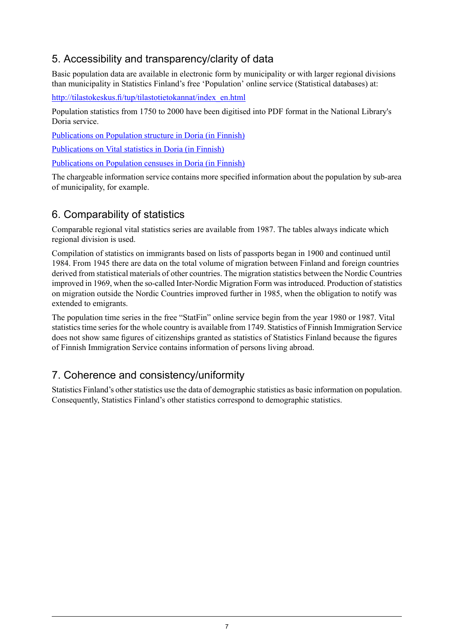### 5. Accessibility and transparency/clarity of data

Basic population data are available in electronic form by municipality or with larger regional divisions than municipality in Statistics Finland's free 'Population' online service (Statistical databases) at:

[http://tilastokeskus.fi/tup/tilastotietokannat/index\\_en.html](http://tilastokeskus.fi/tup/tilastotietokannat/index_en.html)

Population statistics from 1750 to 2000 have been digitised into PDF format in the National Library's Doria service.

[Publications](http://www.doria.fi/handle/10024/67162) on Population structure in Doria (in Finnish)

[Publications](http://www.doria.fi/handle/10024/67161) on Vital statistics in Doria (in Finnish)

[Publications](http://www.doria.fi/handle/10024/67160) on Population censuses in Doria (in Finnish)

The chargeable information service contains more specified information about the population by sub-area of municipality, for example.

### 6. Comparability of statistics

Comparable regional vital statistics series are available from 1987. The tables always indicate which regional division is used.

Compilation of statistics on immigrants based on lists of passports began in 1900 and continued until 1984. From 1945 there are data on the total volume of migration between Finland and foreign countries derived from statistical materials of other countries. The migration statistics between the Nordic Countries improved in 1969, when the so-called Inter-Nordic Migration Form was introduced. Production of statistics on migration outside the Nordic Countries improved further in 1985, when the obligation to notify was extended to emigrants.

The population time series in the free "StatFin" online service begin from the year 1980 or 1987. Vital statistics time series for the whole country is available from 1749. Statistics of Finnish Immigration Service does not show same figures of citizenships granted as statistics of Statistics Finland because the figures of Finnish Immigration Service contains information of persons living abroad.

### 7. Coherence and consistency/uniformity

Statistics Finland's other statistics use the data of demographic statistics as basic information on population. Consequently, Statistics Finland's other statistics correspond to demographic statistics.